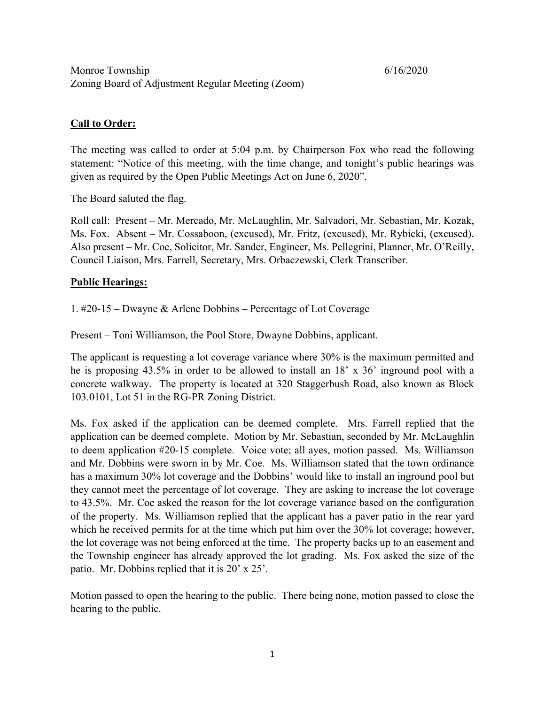# **Call to Order:**

The meeting was called to order at 5:04 p.m. by Chairperson Fox who read the following statement: "Notice of this meeting, with the time change, and tonight's public hearings was given as required by the Open Public Meetings Act on June 6, 2020".

The Board saluted the flag.

Roll call: Present – Mr. Mercado, Mr. McLaughlin, Mr. Salvadori, Mr. Sebastian, Mr. Kozak, Ms. Fox. Absent – Mr. Cossaboon, (excused), Mr. Fritz, (excused), Mr. Rybicki, (excused). Also present – Mr. Coe, Solicitor, Mr. Sander, Engineer, Ms. Pellegrini, Planner, Mr. O'Reilly, Council Liaison, Mrs. Farrell, Secretary, Mrs. Orbaczewski, Clerk Transcriber.

### **Public Hearings:**

1. #20-15 – Dwayne & Arlene Dobbins – Percentage of Lot Coverage

Present – Toni Williamson, the Pool Store, Dwayne Dobbins, applicant.

The applicant is requesting a lot coverage variance where 30% is the maximum permitted and he is proposing 43.5% in order to be allowed to install an 18' x 36' inground pool with a concrete walkway. The property is located at 320 Staggerbush Road, also known as Block 103.0101, Lot 51 in the RG-PR Zoning District.

Ms. Fox asked if the application can be deemed complete. Mrs. Farrell replied that the application can be deemed complete. Motion by Mr. Sebastian, seconded by Mr. McLaughlin to deem application #20-15 complete. Voice vote; all ayes, motion passed. Ms. Williamson and Mr. Dobbins were sworn in by Mr. Coe. Ms. Williamson stated that the town ordinance has a maximum 30% lot coverage and the Dobbins' would like to install an inground pool but they cannot meet the percentage of lot coverage. They are asking to increase the lot coverage to 43.5%. Mr. Coe asked the reason for the lot coverage variance based on the configuration of the property. Ms. Williamson replied that the applicant has a paver patio in the rear yard which he received permits for at the time which put him over the 30% lot coverage; however, the lot coverage was not being enforced at the time. The property backs up to an easement and the Township engineer has already approved the lot grading. Ms. Fox asked the size of the patio. Mr. Dobbins replied that it is 20' x 25'.

Motion passed to open the hearing to the public. There being none, motion passed to close the hearing to the public.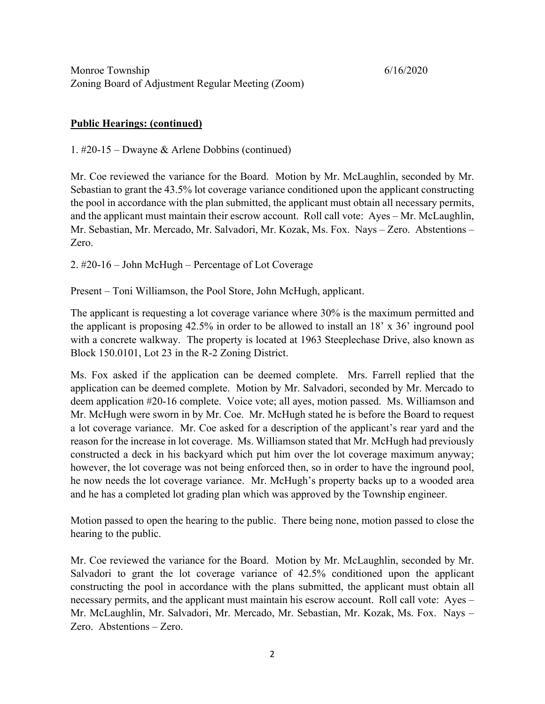## **Public Hearings: (continued)**

1. #20-15 – Dwayne & Arlene Dobbins (continued)

Mr. Coe reviewed the variance for the Board. Motion by Mr. McLaughlin, seconded by Mr. Sebastian to grant the 43.5% lot coverage variance conditioned upon the applicant constructing the pool in accordance with the plan submitted, the applicant must obtain all necessary permits, and the applicant must maintain their escrow account. Roll call vote: Ayes – Mr. McLaughlin, Mr. Sebastian, Mr. Mercado, Mr. Salvadori, Mr. Kozak, Ms. Fox. Nays – Zero. Abstentions – Zero.

2. #20-16 – John McHugh – Percentage of Lot Coverage

Present – Toni Williamson, the Pool Store, John McHugh, applicant.

The applicant is requesting a lot coverage variance where 30% is the maximum permitted and the applicant is proposing 42.5% in order to be allowed to install an 18' x 36' inground pool with a concrete walkway. The property is located at 1963 Steeplechase Drive, also known as Block 150.0101, Lot 23 in the R-2 Zoning District.

Ms. Fox asked if the application can be deemed complete. Mrs. Farrell replied that the application can be deemed complete. Motion by Mr. Salvadori, seconded by Mr. Mercado to deem application #20-16 complete. Voice vote; all ayes, motion passed. Ms. Williamson and Mr. McHugh were sworn in by Mr. Coe. Mr. McHugh stated he is before the Board to request a lot coverage variance. Mr. Coe asked for a description of the applicant's rear yard and the reason for the increase in lot coverage. Ms. Williamson stated that Mr. McHugh had previously constructed a deck in his backyard which put him over the lot coverage maximum anyway; however, the lot coverage was not being enforced then, so in order to have the inground pool, he now needs the lot coverage variance. Mr. McHugh's property backs up to a wooded area and he has a completed lot grading plan which was approved by the Township engineer.

Motion passed to open the hearing to the public. There being none, motion passed to close the hearing to the public.

Mr. Coe reviewed the variance for the Board. Motion by Mr. McLaughlin, seconded by Mr. Salvadori to grant the lot coverage variance of 42.5% conditioned upon the applicant constructing the pool in accordance with the plans submitted, the applicant must obtain all necessary permits, and the applicant must maintain his escrow account. Roll call vote: Ayes – Mr. McLaughlin, Mr. Salvadori, Mr. Mercado, Mr. Sebastian, Mr. Kozak, Ms. Fox. Nays – Zero. Abstentions – Zero.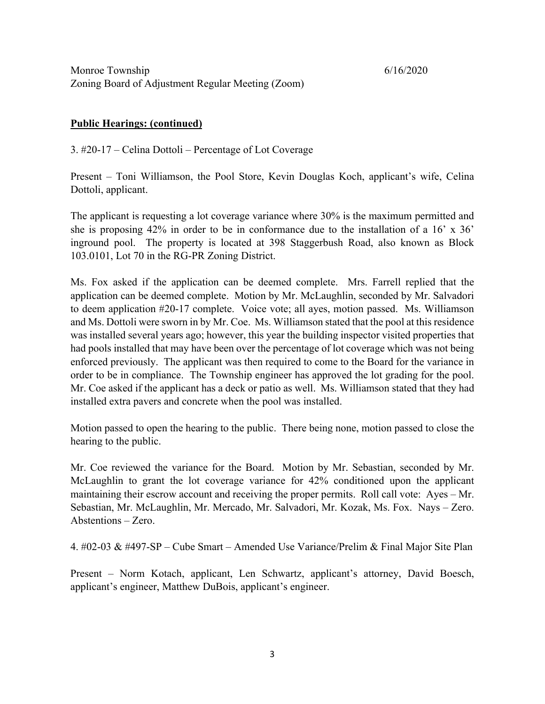# **Public Hearings: (continued)**

3. #20-17 – Celina Dottoli – Percentage of Lot Coverage

Present – Toni Williamson, the Pool Store, Kevin Douglas Koch, applicant's wife, Celina Dottoli, applicant.

The applicant is requesting a lot coverage variance where 30% is the maximum permitted and she is proposing 42% in order to be in conformance due to the installation of a 16' x 36' inground pool. The property is located at 398 Staggerbush Road, also known as Block 103.0101, Lot 70 in the RG-PR Zoning District.

Ms. Fox asked if the application can be deemed complete. Mrs. Farrell replied that the application can be deemed complete. Motion by Mr. McLaughlin, seconded by Mr. Salvadori to deem application #20-17 complete. Voice vote; all ayes, motion passed. Ms. Williamson and Ms. Dottoli were sworn in by Mr. Coe. Ms. Williamson stated that the pool at this residence was installed several years ago; however, this year the building inspector visited properties that had pools installed that may have been over the percentage of lot coverage which was not being enforced previously. The applicant was then required to come to the Board for the variance in order to be in compliance. The Township engineer has approved the lot grading for the pool. Mr. Coe asked if the applicant has a deck or patio as well. Ms. Williamson stated that they had installed extra pavers and concrete when the pool was installed.

Motion passed to open the hearing to the public. There being none, motion passed to close the hearing to the public.

Mr. Coe reviewed the variance for the Board. Motion by Mr. Sebastian, seconded by Mr. McLaughlin to grant the lot coverage variance for 42% conditioned upon the applicant maintaining their escrow account and receiving the proper permits. Roll call vote: Ayes – Mr. Sebastian, Mr. McLaughlin, Mr. Mercado, Mr. Salvadori, Mr. Kozak, Ms. Fox. Nays – Zero. Abstentions – Zero.

4. #02-03 & #497-SP – Cube Smart – Amended Use Variance/Prelim & Final Major Site Plan

Present – Norm Kotach, applicant, Len Schwartz, applicant's attorney, David Boesch, applicant's engineer, Matthew DuBois, applicant's engineer.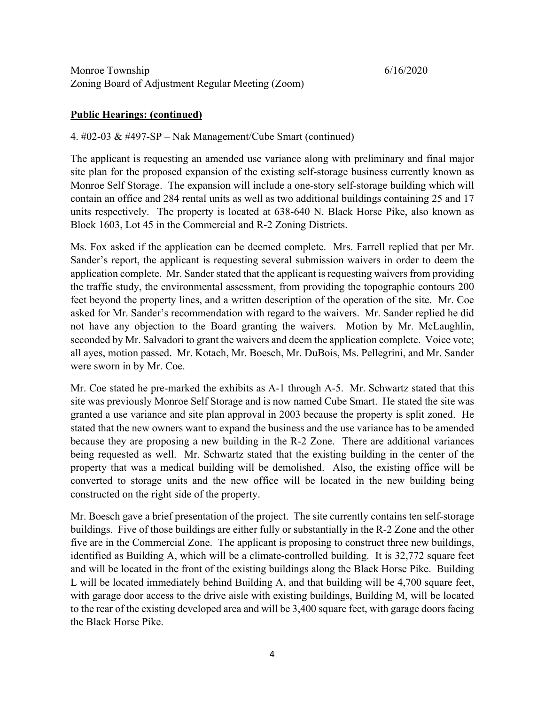## **Public Hearings: (continued)**

## 4. #02-03 & #497-SP – Nak Management/Cube Smart (continued)

The applicant is requesting an amended use variance along with preliminary and final major site plan for the proposed expansion of the existing self-storage business currently known as Monroe Self Storage. The expansion will include a one-story self-storage building which will contain an office and 284 rental units as well as two additional buildings containing 25 and 17 units respectively. The property is located at 638-640 N. Black Horse Pike, also known as Block 1603, Lot 45 in the Commercial and R-2 Zoning Districts.

Ms. Fox asked if the application can be deemed complete. Mrs. Farrell replied that per Mr. Sander's report, the applicant is requesting several submission waivers in order to deem the application complete. Mr. Sander stated that the applicant is requesting waivers from providing the traffic study, the environmental assessment, from providing the topographic contours 200 feet beyond the property lines, and a written description of the operation of the site. Mr. Coe asked for Mr. Sander's recommendation with regard to the waivers. Mr. Sander replied he did not have any objection to the Board granting the waivers. Motion by Mr. McLaughlin, seconded by Mr. Salvadori to grant the waivers and deem the application complete. Voice vote; all ayes, motion passed. Mr. Kotach, Mr. Boesch, Mr. DuBois, Ms. Pellegrini, and Mr. Sander were sworn in by Mr. Coe.

Mr. Coe stated he pre-marked the exhibits as A-1 through A-5. Mr. Schwartz stated that this site was previously Monroe Self Storage and is now named Cube Smart. He stated the site was granted a use variance and site plan approval in 2003 because the property is split zoned. He stated that the new owners want to expand the business and the use variance has to be amended because they are proposing a new building in the R-2 Zone. There are additional variances being requested as well. Mr. Schwartz stated that the existing building in the center of the property that was a medical building will be demolished. Also, the existing office will be converted to storage units and the new office will be located in the new building being constructed on the right side of the property.

Mr. Boesch gave a brief presentation of the project. The site currently contains ten self-storage buildings. Five of those buildings are either fully or substantially in the R-2 Zone and the other five are in the Commercial Zone. The applicant is proposing to construct three new buildings, identified as Building A, which will be a climate-controlled building. It is 32,772 square feet and will be located in the front of the existing buildings along the Black Horse Pike. Building L will be located immediately behind Building A, and that building will be 4,700 square feet, with garage door access to the drive aisle with existing buildings, Building M, will be located to the rear of the existing developed area and will be 3,400 square feet, with garage doors facing the Black Horse Pike.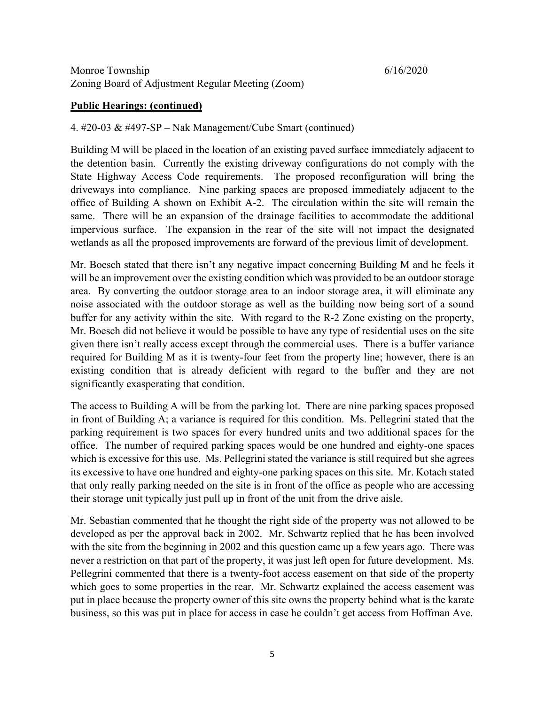#### **Public Hearings: (continued)**

#### 4. #20-03 & #497-SP – Nak Management/Cube Smart (continued)

Building M will be placed in the location of an existing paved surface immediately adjacent to the detention basin. Currently the existing driveway configurations do not comply with the State Highway Access Code requirements. The proposed reconfiguration will bring the driveways into compliance. Nine parking spaces are proposed immediately adjacent to the office of Building A shown on Exhibit A-2. The circulation within the site will remain the same. There will be an expansion of the drainage facilities to accommodate the additional impervious surface. The expansion in the rear of the site will not impact the designated wetlands as all the proposed improvements are forward of the previous limit of development.

Mr. Boesch stated that there isn't any negative impact concerning Building M and he feels it will be an improvement over the existing condition which was provided to be an outdoor storage area. By converting the outdoor storage area to an indoor storage area, it will eliminate any noise associated with the outdoor storage as well as the building now being sort of a sound buffer for any activity within the site. With regard to the R-2 Zone existing on the property, Mr. Boesch did not believe it would be possible to have any type of residential uses on the site given there isn't really access except through the commercial uses. There is a buffer variance required for Building M as it is twenty-four feet from the property line; however, there is an existing condition that is already deficient with regard to the buffer and they are not significantly exasperating that condition.

The access to Building A will be from the parking lot. There are nine parking spaces proposed in front of Building A; a variance is required for this condition. Ms. Pellegrini stated that the parking requirement is two spaces for every hundred units and two additional spaces for the office. The number of required parking spaces would be one hundred and eighty-one spaces which is excessive for this use. Ms. Pellegrini stated the variance is still required but she agrees its excessive to have one hundred and eighty-one parking spaces on this site. Mr. Kotach stated that only really parking needed on the site is in front of the office as people who are accessing their storage unit typically just pull up in front of the unit from the drive aisle.

Mr. Sebastian commented that he thought the right side of the property was not allowed to be developed as per the approval back in 2002. Mr. Schwartz replied that he has been involved with the site from the beginning in 2002 and this question came up a few years ago. There was never a restriction on that part of the property, it was just left open for future development. Ms. Pellegrini commented that there is a twenty-foot access easement on that side of the property which goes to some properties in the rear. Mr. Schwartz explained the access easement was put in place because the property owner of this site owns the property behind what is the karate business, so this was put in place for access in case he couldn't get access from Hoffman Ave.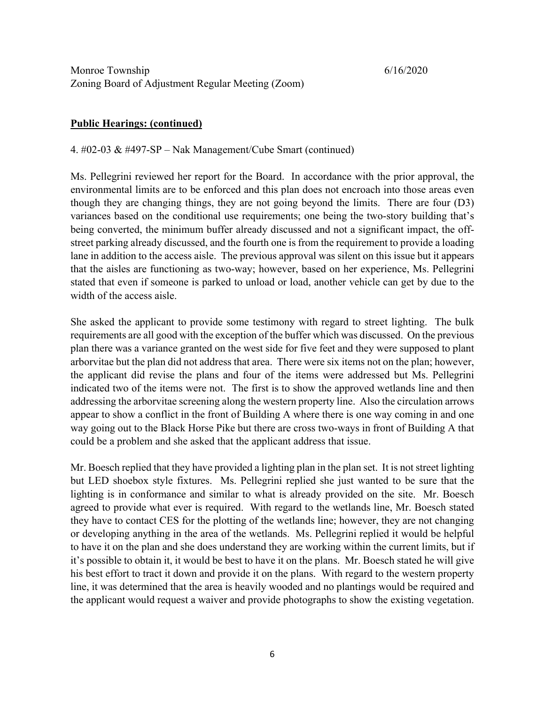### **Public Hearings: (continued)**

4. #02-03 & #497-SP – Nak Management/Cube Smart (continued)

Ms. Pellegrini reviewed her report for the Board. In accordance with the prior approval, the environmental limits are to be enforced and this plan does not encroach into those areas even though they are changing things, they are not going beyond the limits. There are four (D3) variances based on the conditional use requirements; one being the two-story building that's being converted, the minimum buffer already discussed and not a significant impact, the offstreet parking already discussed, and the fourth one is from the requirement to provide a loading lane in addition to the access aisle. The previous approval was silent on this issue but it appears that the aisles are functioning as two-way; however, based on her experience, Ms. Pellegrini stated that even if someone is parked to unload or load, another vehicle can get by due to the width of the access aisle.

She asked the applicant to provide some testimony with regard to street lighting. The bulk requirements are all good with the exception of the buffer which was discussed. On the previous plan there was a variance granted on the west side for five feet and they were supposed to plant arborvitae but the plan did not address that area. There were six items not on the plan; however, the applicant did revise the plans and four of the items were addressed but Ms. Pellegrini indicated two of the items were not. The first is to show the approved wetlands line and then addressing the arborvitae screening along the western property line. Also the circulation arrows appear to show a conflict in the front of Building A where there is one way coming in and one way going out to the Black Horse Pike but there are cross two-ways in front of Building A that could be a problem and she asked that the applicant address that issue.

Mr. Boesch replied that they have provided a lighting plan in the plan set. It is not street lighting but LED shoebox style fixtures. Ms. Pellegrini replied she just wanted to be sure that the lighting is in conformance and similar to what is already provided on the site. Mr. Boesch agreed to provide what ever is required. With regard to the wetlands line, Mr. Boesch stated they have to contact CES for the plotting of the wetlands line; however, they are not changing or developing anything in the area of the wetlands. Ms. Pellegrini replied it would be helpful to have it on the plan and she does understand they are working within the current limits, but if it's possible to obtain it, it would be best to have it on the plans. Mr. Boesch stated he will give his best effort to tract it down and provide it on the plans. With regard to the western property line, it was determined that the area is heavily wooded and no plantings would be required and the applicant would request a waiver and provide photographs to show the existing vegetation.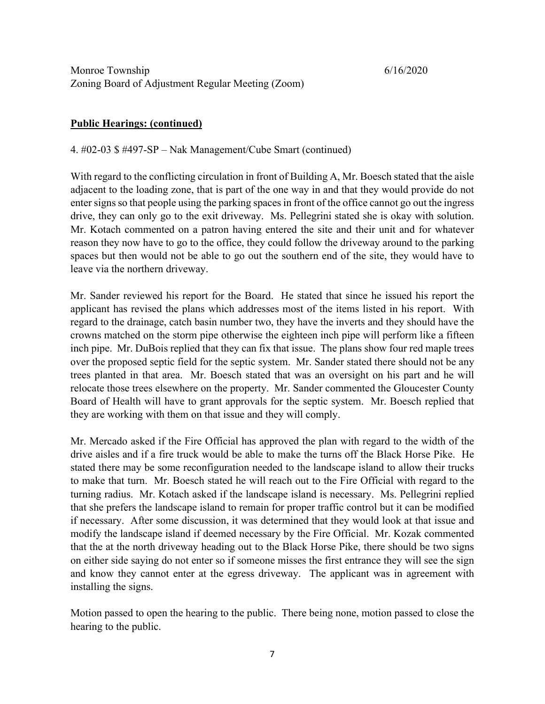# **Public Hearings: (continued)**

4. #02-03 \$ #497-SP – Nak Management/Cube Smart (continued)

With regard to the conflicting circulation in front of Building A, Mr. Boesch stated that the aisle adjacent to the loading zone, that is part of the one way in and that they would provide do not enter signs so that people using the parking spaces in front of the office cannot go out the ingress drive, they can only go to the exit driveway. Ms. Pellegrini stated she is okay with solution. Mr. Kotach commented on a patron having entered the site and their unit and for whatever reason they now have to go to the office, they could follow the driveway around to the parking spaces but then would not be able to go out the southern end of the site, they would have to leave via the northern driveway.

Mr. Sander reviewed his report for the Board. He stated that since he issued his report the applicant has revised the plans which addresses most of the items listed in his report. With regard to the drainage, catch basin number two, they have the inverts and they should have the crowns matched on the storm pipe otherwise the eighteen inch pipe will perform like a fifteen inch pipe. Mr. DuBois replied that they can fix that issue. The plans show four red maple trees over the proposed septic field for the septic system. Mr. Sander stated there should not be any trees planted in that area. Mr. Boesch stated that was an oversight on his part and he will relocate those trees elsewhere on the property. Mr. Sander commented the Gloucester County Board of Health will have to grant approvals for the septic system. Mr. Boesch replied that they are working with them on that issue and they will comply.

Mr. Mercado asked if the Fire Official has approved the plan with regard to the width of the drive aisles and if a fire truck would be able to make the turns off the Black Horse Pike. He stated there may be some reconfiguration needed to the landscape island to allow their trucks to make that turn. Mr. Boesch stated he will reach out to the Fire Official with regard to the turning radius. Mr. Kotach asked if the landscape island is necessary. Ms. Pellegrini replied that she prefers the landscape island to remain for proper traffic control but it can be modified if necessary. After some discussion, it was determined that they would look at that issue and modify the landscape island if deemed necessary by the Fire Official. Mr. Kozak commented that the at the north driveway heading out to the Black Horse Pike, there should be two signs on either side saying do not enter so if someone misses the first entrance they will see the sign and know they cannot enter at the egress driveway. The applicant was in agreement with installing the signs.

Motion passed to open the hearing to the public. There being none, motion passed to close the hearing to the public.